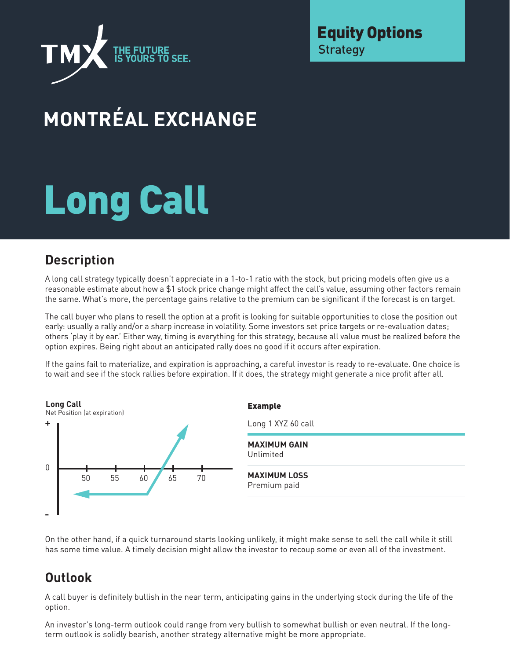

Equity Options **Strategy** 

## **MONTRÉAL EXCHANGE**

# Long Call

#### **Description**

A long call strategy typically doesn't appreciate in a 1-to-1 ratio with the stock, but pricing models often give us a reasonable estimate about how a \$1 stock price change might affect the call's value, assuming other factors remain the same. What's more, the percentage gains relative to the premium can be significant if the forecast is on target.

The call buyer who plans to resell the option at a profit is looking for suitable opportunities to close the position out early: usually a rally and/or a sharp increase in volatility. Some investors set price targets or re-evaluation dates; others 'play it by ear.' Either way, timing is everything for this strategy, because all value must be realized before the option expires. Being right about an anticipated rally does no good if it occurs after expiration.

If the gains fail to materialize, and expiration is approaching, a careful investor is ready to re-evaluate. One choice is to wait and see if the stock rallies before expiration. If it does, the strategy might generate a nice profit after all.



On the other hand, if a quick turnaround starts looking unlikely, it might make sense to sell the call while it still has some time value. A timely decision might allow the investor to recoup some or even all of the investment.

#### **Outlook**

A call buyer is definitely bullish in the near term, anticipating gains in the underlying stock during the life of the option.

An investor's long-term outlook could range from very bullish to somewhat bullish or even neutral. If the longterm outlook is solidly bearish, another strategy alternative might be more appropriate.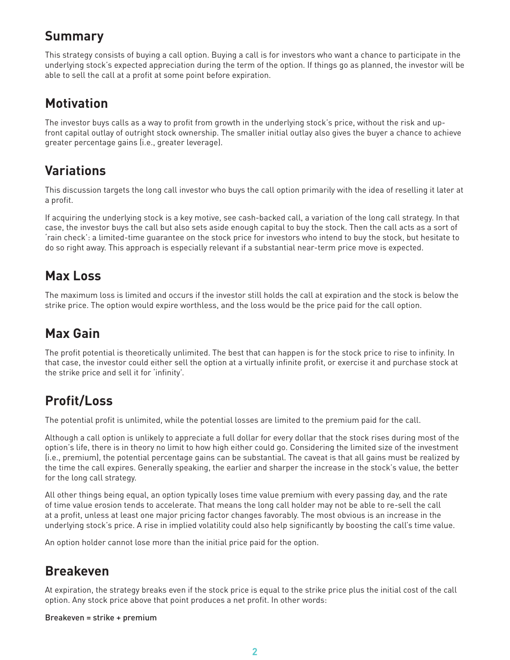#### **Summary**

This strategy consists of buying a call option. Buying a call is for investors who want a chance to participate in the underlying stock's expected appreciation during the term of the option. If things go as planned, the investor will be able to sell the call at a profit at some point before expiration.

#### **Motivation**

The investor buys calls as a way to profit from growth in the underlying stock's price, without the risk and upfront capital outlay of outright stock ownership. The smaller initial outlay also gives the buyer a chance to achieve greater percentage gains (i.e., greater leverage).

#### **Variations**

This discussion targets the long call investor who buys the call option primarily with the idea of reselling it later at a profit.

If acquiring the underlying stock is a key motive, see cash-backed call, a variation of the long call strategy. In that case, the investor buys the call but also sets aside enough capital to buy the stock. Then the call acts as a sort of 'rain check': a limited-time guarantee on the stock price for investors who intend to buy the stock, but hesitate to do so right away. This approach is especially relevant if a substantial near-term price move is expected.

#### **Max Loss**

The maximum loss is limited and occurs if the investor still holds the call at expiration and the stock is below the strike price. The option would expire worthless, and the loss would be the price paid for the call option.

#### **Max Gain**

The profit potential is theoretically unlimited. The best that can happen is for the stock price to rise to infinity. In that case, the investor could either sell the option at a virtually infinite profit, or exercise it and purchase stock at the strike price and sell it for 'infinity'.

### **Profit/Loss**

The potential profit is unlimited, while the potential losses are limited to the premium paid for the call.

Although a call option is unlikely to appreciate a full dollar for every dollar that the stock rises during most of the option's life, there is in theory no limit to how high either could go. Considering the limited size of the investment (i.e., premium), the potential percentage gains can be substantial. The caveat is that all gains must be realized by the time the call expires. Generally speaking, the earlier and sharper the increase in the stock's value, the better for the long call strategy.

All other things being equal, an option typically loses time value premium with every passing day, and the rate of time value erosion tends to accelerate. That means the long call holder may not be able to re-sell the call at a profit, unless at least one major pricing factor changes favorably. The most obvious is an increase in the underlying stock's price. A rise in implied volatility could also help significantly by boosting the call's time value.

An option holder cannot lose more than the initial price paid for the option.

#### **Breakeven**

At expiration, the strategy breaks even if the stock price is equal to the strike price plus the initial cost of the call option. Any stock price above that point produces a net profit. In other words:

#### Breakeven = strike + premium